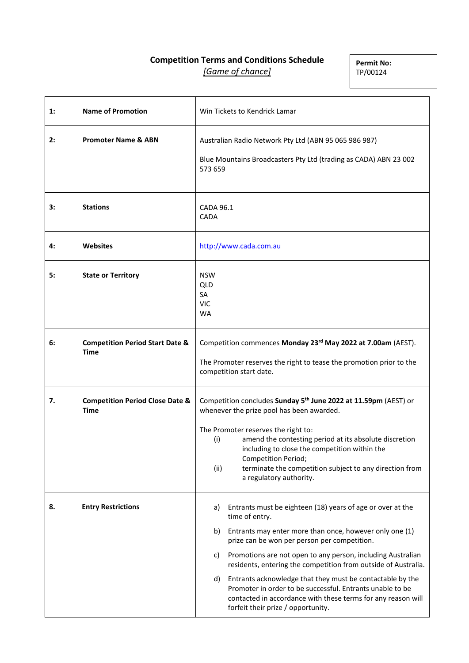# **Competition Terms and Conditions Schedule** *[Game of chance]*

**Permit No:** TP/00124

| 1: | <b>Name of Promotion</b>                                  | Win Tickets to Kendrick Lamar                                                                                                                                                                                                                                                                                                                                                                                                                                                                                                                                                    |
|----|-----------------------------------------------------------|----------------------------------------------------------------------------------------------------------------------------------------------------------------------------------------------------------------------------------------------------------------------------------------------------------------------------------------------------------------------------------------------------------------------------------------------------------------------------------------------------------------------------------------------------------------------------------|
| 2: | <b>Promoter Name &amp; ABN</b>                            | Australian Radio Network Pty Ltd (ABN 95 065 986 987)<br>Blue Mountains Broadcasters Pty Ltd (trading as CADA) ABN 23 002<br>573 659                                                                                                                                                                                                                                                                                                                                                                                                                                             |
| 3: | <b>Stations</b>                                           | <b>CADA 96.1</b><br><b>CADA</b>                                                                                                                                                                                                                                                                                                                                                                                                                                                                                                                                                  |
| 4: | <b>Websites</b>                                           | http://www.cada.com.au                                                                                                                                                                                                                                                                                                                                                                                                                                                                                                                                                           |
| 5: | <b>State or Territory</b>                                 | <b>NSW</b><br><b>QLD</b><br>SA<br><b>VIC</b><br><b>WA</b>                                                                                                                                                                                                                                                                                                                                                                                                                                                                                                                        |
| 6: | <b>Competition Period Start Date &amp;</b><br><b>Time</b> | Competition commences Monday 23 <sup>rd</sup> May 2022 at 7.00am (AEST).<br>The Promoter reserves the right to tease the promotion prior to the<br>competition start date.                                                                                                                                                                                                                                                                                                                                                                                                       |
| 7. | <b>Competition Period Close Date &amp;</b><br><b>Time</b> | Competition concludes Sunday 5 <sup>th</sup> June 2022 at 11.59pm (AEST) or<br>whenever the prize pool has been awarded.<br>The Promoter reserves the right to:<br>amend the contesting period at its absolute discretion<br>(i)<br>including to close the competition within the<br><b>Competition Period;</b><br>(ii)<br>terminate the competition subject to any direction from<br>a regulatory authority.                                                                                                                                                                    |
| 8. | <b>Entry Restrictions</b>                                 | Entrants must be eighteen (18) years of age or over at the<br>a)<br>time of entry.<br>Entrants may enter more than once, however only one (1)<br>b)<br>prize can be won per person per competition.<br>Promotions are not open to any person, including Australian<br>C)<br>residents, entering the competition from outside of Australia.<br>Entrants acknowledge that they must be contactable by the<br>d)<br>Promoter in order to be successful. Entrants unable to be<br>contacted in accordance with these terms for any reason will<br>forfeit their prize / opportunity. |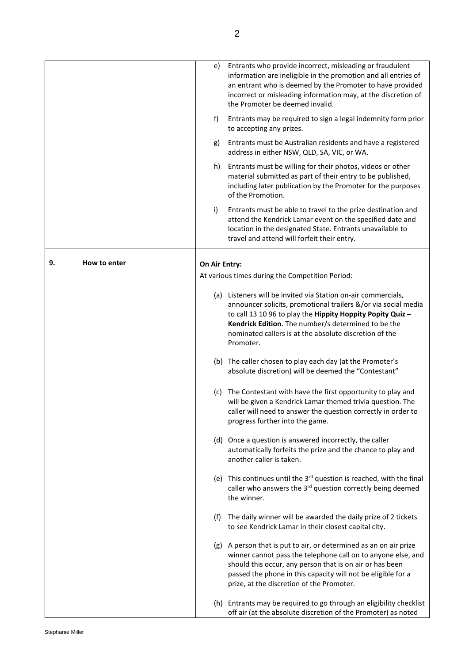|                    | e)            | Entrants who provide incorrect, misleading or fraudulent<br>information are ineligible in the promotion and all entries of<br>an entrant who is deemed by the Promoter to have provided<br>incorrect or misleading information may, at the discretion of<br>the Promoter be deemed invalid.                                 |
|--------------------|---------------|-----------------------------------------------------------------------------------------------------------------------------------------------------------------------------------------------------------------------------------------------------------------------------------------------------------------------------|
|                    | f)            | Entrants may be required to sign a legal indemnity form prior<br>to accepting any prizes.                                                                                                                                                                                                                                   |
|                    | g)            | Entrants must be Australian residents and have a registered<br>address in either NSW, QLD, SA, VIC, or WA.                                                                                                                                                                                                                  |
|                    | h)            | Entrants must be willing for their photos, videos or other<br>material submitted as part of their entry to be published,<br>including later publication by the Promoter for the purposes<br>of the Promotion.                                                                                                               |
|                    | i)            | Entrants must be able to travel to the prize destination and<br>attend the Kendrick Lamar event on the specified date and<br>location in the designated State. Entrants unavailable to<br>travel and attend will forfeit their entry.                                                                                       |
| How to enter<br>9. | On Air Entry: |                                                                                                                                                                                                                                                                                                                             |
|                    |               | At various times during the Competition Period:                                                                                                                                                                                                                                                                             |
|                    |               | (a) Listeners will be invited via Station on-air commercials,<br>announcer solicits, promotional trailers &/or via social media<br>to call 13 10 96 to play the Hippity Hoppity Popity Quiz -<br>Kendrick Edition. The number/s determined to be the<br>nominated callers is at the absolute discretion of the<br>Promoter. |
|                    |               | (b) The caller chosen to play each day (at the Promoter's<br>absolute discretion) will be deemed the "Contestant"                                                                                                                                                                                                           |
|                    |               | (c) The Contestant with have the first opportunity to play and<br>will be given a Kendrick Lamar themed trivia question. The<br>caller will need to answer the question correctly in order to<br>progress further into the game.                                                                                            |
|                    |               | (d) Once a question is answered incorrectly, the caller<br>automatically forfeits the prize and the chance to play and<br>another caller is taken.                                                                                                                                                                          |
|                    |               | (e) This continues until the 3 <sup>rd</sup> question is reached, with the final<br>caller who answers the 3 <sup>rd</sup> question correctly being deemed<br>the winner.                                                                                                                                                   |
|                    | (f)           | The daily winner will be awarded the daily prize of 2 tickets<br>to see Kendrick Lamar in their closest capital city.                                                                                                                                                                                                       |
|                    |               | (g) A person that is put to air, or determined as an on air prize<br>winner cannot pass the telephone call on to anyone else, and<br>should this occur, any person that is on air or has been<br>passed the phone in this capacity will not be eligible for a<br>prize, at the discretion of the Promoter.                  |
|                    |               | (h) Entrants may be required to go through an eligibility checklist<br>off air (at the absolute discretion of the Promoter) as noted                                                                                                                                                                                        |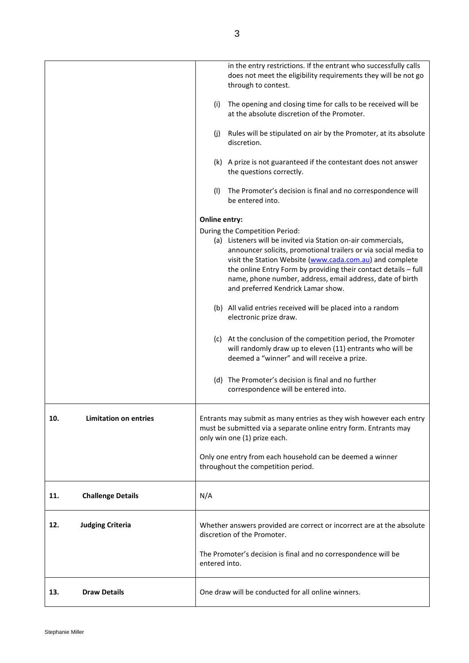|                                     | in the entry restrictions. If the entrant who successfully calls<br>does not meet the eligibility requirements they will be not go<br>through to contest.                                                                                                                                                                                                          |
|-------------------------------------|--------------------------------------------------------------------------------------------------------------------------------------------------------------------------------------------------------------------------------------------------------------------------------------------------------------------------------------------------------------------|
|                                     | (i) The opening and closing time for calls to be received will be<br>at the absolute discretion of the Promoter.                                                                                                                                                                                                                                                   |
|                                     | (j) Rules will be stipulated on air by the Promoter, at its absolute<br>discretion.                                                                                                                                                                                                                                                                                |
|                                     | (k) A prize is not guaranteed if the contestant does not answer<br>the questions correctly.                                                                                                                                                                                                                                                                        |
|                                     | (I) The Promoter's decision is final and no correspondence will<br>be entered into.                                                                                                                                                                                                                                                                                |
|                                     | Online entry:                                                                                                                                                                                                                                                                                                                                                      |
|                                     | During the Competition Period:                                                                                                                                                                                                                                                                                                                                     |
|                                     | (a) Listeners will be invited via Station on-air commercials,<br>announcer solicits, promotional trailers or via social media to<br>visit the Station Website (www.cada.com.au) and complete<br>the online Entry Form by providing their contact details - full<br>name, phone number, address, email address, date of birth<br>and preferred Kendrick Lamar show. |
|                                     | (b) All valid entries received will be placed into a random<br>electronic prize draw.                                                                                                                                                                                                                                                                              |
|                                     | (c) At the conclusion of the competition period, the Promoter<br>will randomly draw up to eleven (11) entrants who will be<br>deemed a "winner" and will receive a prize.                                                                                                                                                                                          |
|                                     | (d) The Promoter's decision is final and no further<br>correspondence will be entered into.                                                                                                                                                                                                                                                                        |
| <b>Limitation on entries</b><br>10. | Entrants may submit as many entries as they wish however each entry<br>must be submitted via a separate online entry form. Entrants may<br>only win one (1) prize each.                                                                                                                                                                                            |
|                                     | Only one entry from each household can be deemed a winner<br>throughout the competition period.                                                                                                                                                                                                                                                                    |
| 11.<br><b>Challenge Details</b>     | N/A                                                                                                                                                                                                                                                                                                                                                                |
| <b>Judging Criteria</b><br>12.      | Whether answers provided are correct or incorrect are at the absolute<br>discretion of the Promoter.                                                                                                                                                                                                                                                               |
|                                     | The Promoter's decision is final and no correspondence will be<br>entered into.                                                                                                                                                                                                                                                                                    |
| 13.<br><b>Draw Details</b>          | One draw will be conducted for all online winners.                                                                                                                                                                                                                                                                                                                 |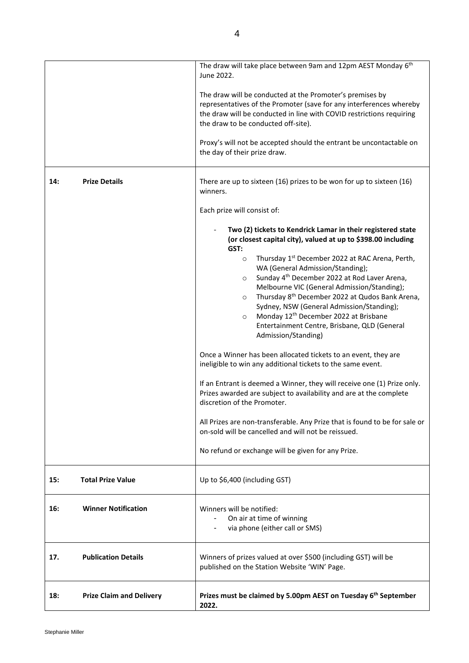|            |                                 | The draw will take place between 9am and 12pm AEST Monday 6th<br>June 2022.                                                                                                                                                                                                                                                                                                                                                                                                                                                                                                                                                                                                                                                                                                                                                                                                                                                                                                                                                                                                                                                                        |
|------------|---------------------------------|----------------------------------------------------------------------------------------------------------------------------------------------------------------------------------------------------------------------------------------------------------------------------------------------------------------------------------------------------------------------------------------------------------------------------------------------------------------------------------------------------------------------------------------------------------------------------------------------------------------------------------------------------------------------------------------------------------------------------------------------------------------------------------------------------------------------------------------------------------------------------------------------------------------------------------------------------------------------------------------------------------------------------------------------------------------------------------------------------------------------------------------------------|
|            |                                 | The draw will be conducted at the Promoter's premises by<br>representatives of the Promoter (save for any interferences whereby<br>the draw will be conducted in line with COVID restrictions requiring<br>the draw to be conducted off-site).                                                                                                                                                                                                                                                                                                                                                                                                                                                                                                                                                                                                                                                                                                                                                                                                                                                                                                     |
|            |                                 | Proxy's will not be accepted should the entrant be uncontactable on<br>the day of their prize draw.                                                                                                                                                                                                                                                                                                                                                                                                                                                                                                                                                                                                                                                                                                                                                                                                                                                                                                                                                                                                                                                |
| 14:        | <b>Prize Details</b>            | There are up to sixteen (16) prizes to be won for up to sixteen (16)<br>winners.                                                                                                                                                                                                                                                                                                                                                                                                                                                                                                                                                                                                                                                                                                                                                                                                                                                                                                                                                                                                                                                                   |
|            |                                 | Each prize will consist of:                                                                                                                                                                                                                                                                                                                                                                                                                                                                                                                                                                                                                                                                                                                                                                                                                                                                                                                                                                                                                                                                                                                        |
|            |                                 | Two (2) tickets to Kendrick Lamar in their registered state<br>(or closest capital city), valued at up to \$398.00 including<br>GST:<br>Thursday 1 <sup>st</sup> December 2022 at RAC Arena, Perth,<br>$\circ$<br>WA (General Admission/Standing);<br>Sunday 4 <sup>th</sup> December 2022 at Rod Laver Arena,<br>$\circ$<br>Melbourne VIC (General Admission/Standing);<br>Thursday 8 <sup>th</sup> December 2022 at Qudos Bank Arena,<br>$\circ$<br>Sydney, NSW (General Admission/Standing);<br>Monday 12 <sup>th</sup> December 2022 at Brisbane<br>$\circ$<br>Entertainment Centre, Brisbane, QLD (General<br>Admission/Standing)<br>Once a Winner has been allocated tickets to an event, they are<br>ineligible to win any additional tickets to the same event.<br>If an Entrant is deemed a Winner, they will receive one (1) Prize only.<br>Prizes awarded are subject to availability and are at the complete<br>discretion of the Promoter.<br>All Prizes are non-transferable. Any Prize that is found to be for sale or<br>on-sold will be cancelled and will not be reissued.<br>No refund or exchange will be given for any Prize. |
| 15:        | <b>Total Prize Value</b>        | Up to \$6,400 (including GST)                                                                                                                                                                                                                                                                                                                                                                                                                                                                                                                                                                                                                                                                                                                                                                                                                                                                                                                                                                                                                                                                                                                      |
| <b>16:</b> | <b>Winner Notification</b>      | Winners will be notified:<br>On air at time of winning<br>via phone (either call or SMS)                                                                                                                                                                                                                                                                                                                                                                                                                                                                                                                                                                                                                                                                                                                                                                                                                                                                                                                                                                                                                                                           |
| 17.        | <b>Publication Details</b>      | Winners of prizes valued at over \$500 (including GST) will be<br>published on the Station Website 'WIN' Page.                                                                                                                                                                                                                                                                                                                                                                                                                                                                                                                                                                                                                                                                                                                                                                                                                                                                                                                                                                                                                                     |
| 18:        | <b>Prize Claim and Delivery</b> | Prizes must be claimed by 5.00pm AEST on Tuesday 6 <sup>th</sup> September<br>2022.                                                                                                                                                                                                                                                                                                                                                                                                                                                                                                                                                                                                                                                                                                                                                                                                                                                                                                                                                                                                                                                                |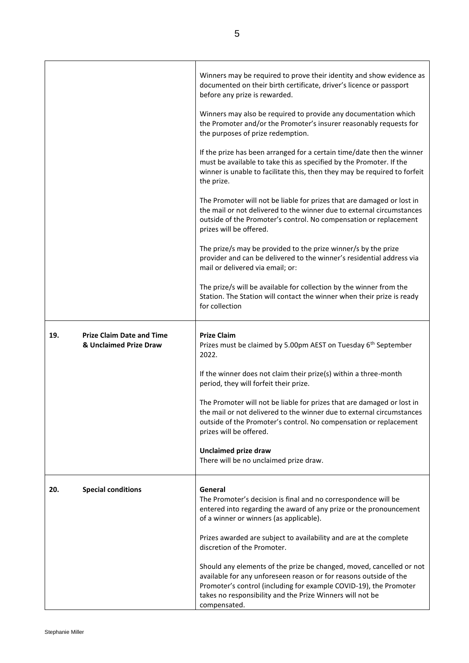|     |                                                            | Winners may be required to prove their identity and show evidence as<br>documented on their birth certificate, driver's licence or passport<br>before any prize is rewarded.                                                                                                                |
|-----|------------------------------------------------------------|---------------------------------------------------------------------------------------------------------------------------------------------------------------------------------------------------------------------------------------------------------------------------------------------|
|     |                                                            | Winners may also be required to provide any documentation which<br>the Promoter and/or the Promoter's insurer reasonably requests for<br>the purposes of prize redemption.                                                                                                                  |
|     |                                                            | If the prize has been arranged for a certain time/date then the winner<br>must be available to take this as specified by the Promoter. If the<br>winner is unable to facilitate this, then they may be required to forfeit<br>the prize.                                                    |
|     |                                                            | The Promoter will not be liable for prizes that are damaged or lost in<br>the mail or not delivered to the winner due to external circumstances<br>outside of the Promoter's control. No compensation or replacement<br>prizes will be offered.                                             |
|     |                                                            | The prize/s may be provided to the prize winner/s by the prize<br>provider and can be delivered to the winner's residential address via<br>mail or delivered via email; or:                                                                                                                 |
|     |                                                            | The prize/s will be available for collection by the winner from the<br>Station. The Station will contact the winner when their prize is ready<br>for collection                                                                                                                             |
| 19. | <b>Prize Claim Date and Time</b><br>& Unclaimed Prize Draw | <b>Prize Claim</b><br>Prizes must be claimed by 5.00pm AEST on Tuesday 6 <sup>th</sup> September<br>2022.                                                                                                                                                                                   |
|     |                                                            | If the winner does not claim their prize(s) within a three-month<br>period, they will forfeit their prize.                                                                                                                                                                                  |
|     |                                                            | The Promoter will not be liable for prizes that are damaged or lost in<br>the mail or not delivered to the winner due to external circumstances<br>outside of the Promoter's control. No compensation or replacement<br>prizes will be offered.                                             |
|     |                                                            | <b>Unclaimed prize draw</b><br>There will be no unclaimed prize draw.                                                                                                                                                                                                                       |
| 20. | <b>Special conditions</b>                                  | General<br>The Promoter's decision is final and no correspondence will be<br>entered into regarding the award of any prize or the pronouncement<br>of a winner or winners (as applicable).                                                                                                  |
|     |                                                            | Prizes awarded are subject to availability and are at the complete<br>discretion of the Promoter.                                                                                                                                                                                           |
|     |                                                            | Should any elements of the prize be changed, moved, cancelled or not<br>available for any unforeseen reason or for reasons outside of the<br>Promoter's control (including for example COVID-19), the Promoter<br>takes no responsibility and the Prize Winners will not be<br>compensated. |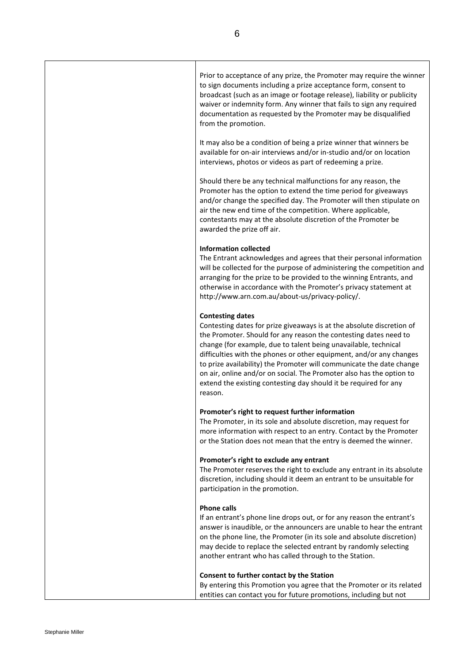| Prior to acceptance of any prize, the Promoter may require the winner   |
|-------------------------------------------------------------------------|
| to sign documents including a prize acceptance form, consent to         |
| broadcast (such as an image or footage release), liability or publicity |
| waiver or indemnity form. Any winner that fails to sign any required    |
| documentation as requested by the Promoter may be disqualified          |
| from the promotion.                                                     |
|                                                                         |

It may also be a condition of being a prize winner that winners be available for on-air interviews and/or in-studio and/or on location interviews, photos or videos as part of redeeming a prize.

Should there be any technical malfunctions for any reason, the Promoter has the option to extend the time period for giveaways and/or change the specified day. The Promoter will then stipulate on air the new end time of the competition. Where applicable, contestants may at the absolute discretion of the Promoter be awarded the prize off air.

#### **Information collected**

The Entrant acknowledges and agrees that their personal information will be collected for the purpose of administering the competition and arranging for the prize to be provided to the winning Entrants, and otherwise in accordance with the Promoter's privacy statement at [http://www.arn.com.au/about-us/privacy-policy/.](http://www.arn.com.au/about-us/privacy-policy/)

#### **Contesting dates**

Contesting dates for prize giveaways is at the absolute discretion of the Promoter. Should for any reason the contesting dates need to change (for example, due to talent being unavailable, technical difficulties with the phones or other equipment, and/or any changes to prize availability) the Promoter will communicate the date change on air, online and/or on social. The Promoter also has the option to extend the existing contesting day should it be required for any reason.

#### **Promoter's right to request further information**

The Promoter, in its sole and absolute discretion, may request for more information with respect to an entry. Contact by the Promoter or the Station does not mean that the entry is deemed the winner.

#### **Promoter's right to exclude any entrant**

The Promoter reserves the right to exclude any entrant in its absolute discretion, including should it deem an entrant to be unsuitable for participation in the promotion.

#### **Phone calls**

If an entrant's phone line drops out, or for any reason the entrant's answer is inaudible, or the announcers are unable to hear the entrant on the phone line, the Promoter (in its sole and absolute discretion) may decide to replace the selected entrant by randomly selecting another entrant who has called through to the Station.

#### **Consent to further contact by the Station**

By entering this Promotion you agree that the Promoter or its related entities can contact you for future promotions, including but not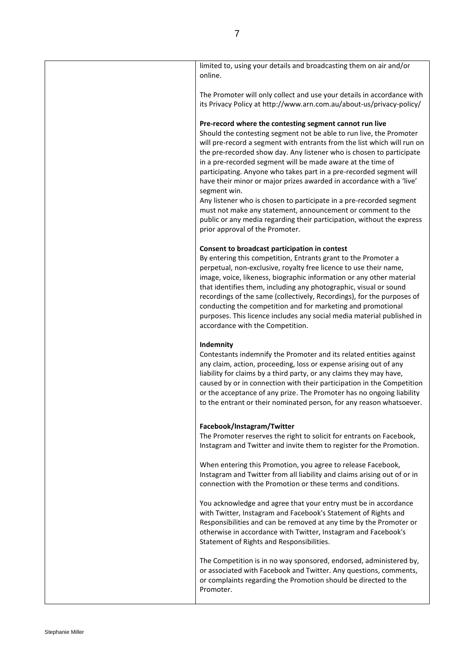| limited to, using your details and broadcasting them on air and/or<br>online.                                                                                                                                                                                                                                                                                                                                                                                                                                                                                                             |
|-------------------------------------------------------------------------------------------------------------------------------------------------------------------------------------------------------------------------------------------------------------------------------------------------------------------------------------------------------------------------------------------------------------------------------------------------------------------------------------------------------------------------------------------------------------------------------------------|
| The Promoter will only collect and use your details in accordance with<br>its Privacy Policy at http://www.arn.com.au/about-us/privacy-policy/                                                                                                                                                                                                                                                                                                                                                                                                                                            |
| Pre-record where the contesting segment cannot run live<br>Should the contesting segment not be able to run live, the Promoter<br>will pre-record a segment with entrants from the list which will run on<br>the pre-recorded show day. Any listener who is chosen to participate<br>in a pre-recorded segment will be made aware at the time of<br>participating. Anyone who takes part in a pre-recorded segment will<br>have their minor or major prizes awarded in accordance with a 'live'<br>segment win.<br>Any listener who is chosen to participate in a pre-recorded segment    |
| must not make any statement, announcement or comment to the<br>public or any media regarding their participation, without the express<br>prior approval of the Promoter.                                                                                                                                                                                                                                                                                                                                                                                                                  |
| Consent to broadcast participation in contest<br>By entering this competition, Entrants grant to the Promoter a<br>perpetual, non-exclusive, royalty free licence to use their name,<br>image, voice, likeness, biographic information or any other material<br>that identifies them, including any photographic, visual or sound<br>recordings of the same (collectively, Recordings), for the purposes of<br>conducting the competition and for marketing and promotional<br>purposes. This licence includes any social media material published in<br>accordance with the Competition. |
| Indemnity<br>Contestants indemnify the Promoter and its related entities against<br>any claim, action, proceeding, loss or expense arising out of any<br>liability for claims by a third party, or any claims they may have,<br>caused by or in connection with their participation in the Competition<br>or the acceptance of any prize. The Promoter has no ongoing liability<br>to the entrant or their nominated person, for any reason whatsoever.                                                                                                                                   |
| Facebook/Instagram/Twitter<br>The Promoter reserves the right to solicit for entrants on Facebook,<br>Instagram and Twitter and invite them to register for the Promotion.                                                                                                                                                                                                                                                                                                                                                                                                                |
| When entering this Promotion, you agree to release Facebook,<br>Instagram and Twitter from all liability and claims arising out of or in<br>connection with the Promotion or these terms and conditions.                                                                                                                                                                                                                                                                                                                                                                                  |
| You acknowledge and agree that your entry must be in accordance<br>with Twitter, Instagram and Facebook's Statement of Rights and<br>Responsibilities and can be removed at any time by the Promoter or<br>otherwise in accordance with Twitter, Instagram and Facebook's<br>Statement of Rights and Responsibilities.                                                                                                                                                                                                                                                                    |
| The Competition is in no way sponsored, endorsed, administered by,<br>or associated with Facebook and Twitter. Any questions, comments,<br>or complaints regarding the Promotion should be directed to the<br>Promoter.                                                                                                                                                                                                                                                                                                                                                                   |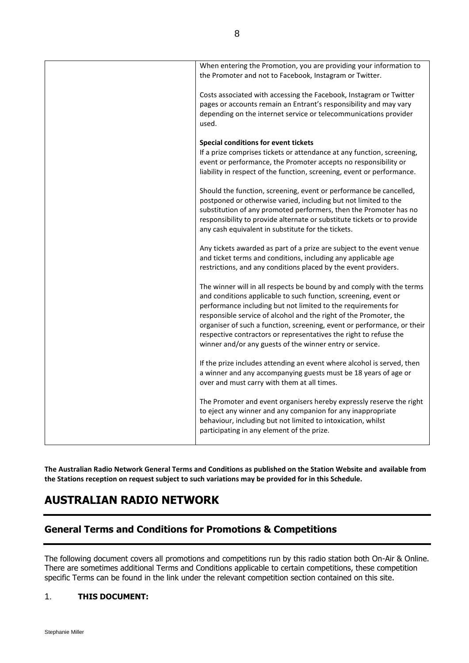**The Australian Radio Network General Terms and Conditions as published on the Station Website and available from the Stations reception on request subject to such variations may be provided for in this Schedule.**

# **AUSTRALIAN RADIO NETWORK**

# **General Terms and Conditions for Promotions & Competitions**

The following document covers all promotions and competitions run by this radio station both On-Air & Online. There are sometimes additional Terms and Conditions applicable to certain competitions, these competition specific Terms can be found in the link under the relevant competition section contained on this site.

# 1. **THIS DOCUMENT:**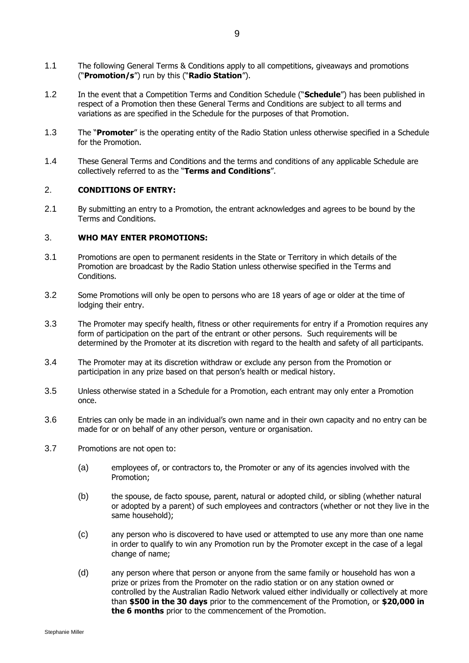- 1.1 The following General Terms & Conditions apply to all competitions, giveaways and promotions ("**Promotion/s**") run by this ("**Radio Station**").
- 1.2 In the event that a Competition Terms and Condition Schedule ("**Schedule**") has been published in respect of a Promotion then these General Terms and Conditions are subject to all terms and variations as are specified in the Schedule for the purposes of that Promotion.
- 1.3 The "**Promoter**" is the operating entity of the Radio Station unless otherwise specified in a Schedule for the Promotion.
- 1.4 These General Terms and Conditions and the terms and conditions of any applicable Schedule are collectively referred to as the "**Terms and Conditions**".

#### 2. **CONDITIONS OF ENTRY:**

2.1 By submitting an entry to a Promotion, the entrant acknowledges and agrees to be bound by the Terms and Conditions.

## 3. **WHO MAY ENTER PROMOTIONS:**

- 3.1 Promotions are open to permanent residents in the State or Territory in which details of the Promotion are broadcast by the Radio Station unless otherwise specified in the Terms and Conditions.
- 3.2 Some Promotions will only be open to persons who are 18 years of age or older at the time of lodging their entry.
- 3.3 The Promoter may specify health, fitness or other requirements for entry if a Promotion requires any form of participation on the part of the entrant or other persons. Such requirements will be determined by the Promoter at its discretion with regard to the health and safety of all participants.
- 3.4 The Promoter may at its discretion withdraw or exclude any person from the Promotion or participation in any prize based on that person's health or medical history.
- 3.5 Unless otherwise stated in a Schedule for a Promotion, each entrant may only enter a Promotion once.
- 3.6 Entries can only be made in an individual's own name and in their own capacity and no entry can be made for or on behalf of any other person, venture or organisation.
- 3.7 Promotions are not open to:
	- (a) employees of, or contractors to, the Promoter or any of its agencies involved with the Promotion;
	- (b) the spouse, de facto spouse, parent, natural or adopted child, or sibling (whether natural or adopted by a parent) of such employees and contractors (whether or not they live in the same household);
	- (c) any person who is discovered to have used or attempted to use any more than one name in order to qualify to win any Promotion run by the Promoter except in the case of a legal change of name;
	- (d) any person where that person or anyone from the same family or household has won a prize or prizes from the Promoter on the radio station or on any station owned or controlled by the Australian Radio Network valued either individually or collectively at more than **\$500 in the 30 days** prior to the commencement of the Promotion, or **\$20,000 in the 6 months** prior to the commencement of the Promotion.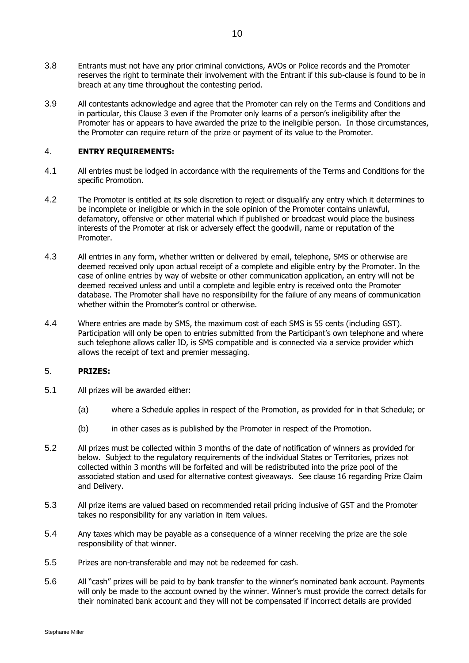- 3.8 Entrants must not have any prior criminal convictions, AVOs or Police records and the Promoter reserves the right to terminate their involvement with the Entrant if this sub-clause is found to be in breach at any time throughout the contesting period.
- 3.9 All contestants acknowledge and agree that the Promoter can rely on the Terms and Conditions and in particular, this Clause 3 even if the Promoter only learns of a person's ineligibility after the Promoter has or appears to have awarded the prize to the ineligible person. In those circumstances, the Promoter can require return of the prize or payment of its value to the Promoter.

## 4. **ENTRY REQUIREMENTS:**

- 4.1 All entries must be lodged in accordance with the requirements of the Terms and Conditions for the specific Promotion.
- 4.2 The Promoter is entitled at its sole discretion to reject or disqualify any entry which it determines to be incomplete or ineligible or which in the sole opinion of the Promoter contains unlawful, defamatory, offensive or other material which if published or broadcast would place the business interests of the Promoter at risk or adversely effect the goodwill, name or reputation of the Promoter.
- 4.3 All entries in any form, whether written or delivered by email, telephone, SMS or otherwise are deemed received only upon actual receipt of a complete and eligible entry by the Promoter. In the case of online entries by way of website or other communication application, an entry will not be deemed received unless and until a complete and legible entry is received onto the Promoter database. The Promoter shall have no responsibility for the failure of any means of communication whether within the Promoter's control or otherwise.
- 4.4 Where entries are made by SMS, the maximum cost of each SMS is 55 cents (including GST). Participation will only be open to entries submitted from the Participant's own telephone and where such telephone allows caller ID, is SMS compatible and is connected via a service provider which allows the receipt of text and premier messaging.

## 5. **PRIZES:**

- 5.1 All prizes will be awarded either:
	- (a) where a Schedule applies in respect of the Promotion, as provided for in that Schedule; or
	- (b) in other cases as is published by the Promoter in respect of the Promotion.
- 5.2 All prizes must be collected within 3 months of the date of notification of winners as provided for below. Subject to the regulatory requirements of the individual States or Territories, prizes not collected within 3 months will be forfeited and will be redistributed into the prize pool of the associated station and used for alternative contest giveaways. See clause 16 regarding Prize Claim and Delivery.
- 5.3 All prize items are valued based on recommended retail pricing inclusive of GST and the Promoter takes no responsibility for any variation in item values.
- 5.4 Any taxes which may be payable as a consequence of a winner receiving the prize are the sole responsibility of that winner.
- 5.5 Prizes are non-transferable and may not be redeemed for cash.
- 5.6 All "cash" prizes will be paid to by bank transfer to the winner's nominated bank account. Payments will only be made to the account owned by the winner. Winner's must provide the correct details for their nominated bank account and they will not be compensated if incorrect details are provided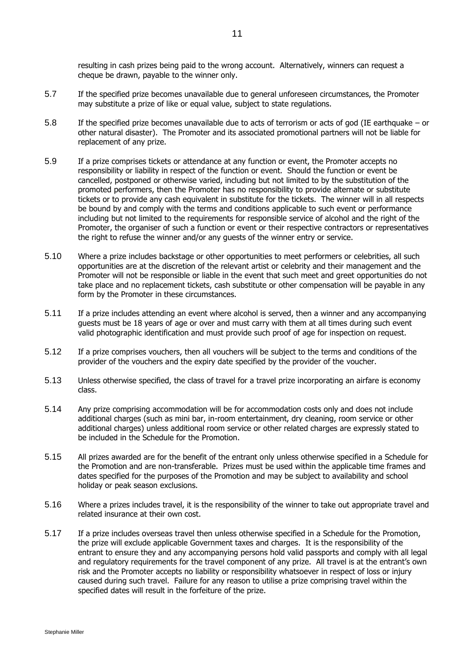resulting in cash prizes being paid to the wrong account. Alternatively, winners can request a cheque be drawn, payable to the winner only.

- 5.7 If the specified prize becomes unavailable due to general unforeseen circumstances, the Promoter may substitute a prize of like or equal value, subject to state regulations.
- 5.8 If the specified prize becomes unavailable due to acts of terrorism or acts of god (IE earthquake or other natural disaster). The Promoter and its associated promotional partners will not be liable for replacement of any prize.
- 5.9 If a prize comprises tickets or attendance at any function or event, the Promoter accepts no responsibility or liability in respect of the function or event. Should the function or event be cancelled, postponed or otherwise varied, including but not limited to by the substitution of the promoted performers, then the Promoter has no responsibility to provide alternate or substitute tickets or to provide any cash equivalent in substitute for the tickets. The winner will in all respects be bound by and comply with the terms and conditions applicable to such event or performance including but not limited to the requirements for responsible service of alcohol and the right of the Promoter, the organiser of such a function or event or their respective contractors or representatives the right to refuse the winner and/or any guests of the winner entry or service.
- 5.10 Where a prize includes backstage or other opportunities to meet performers or celebrities, all such opportunities are at the discretion of the relevant artist or celebrity and their management and the Promoter will not be responsible or liable in the event that such meet and greet opportunities do not take place and no replacement tickets, cash substitute or other compensation will be payable in any form by the Promoter in these circumstances.
- 5.11 If a prize includes attending an event where alcohol is served, then a winner and any accompanying guests must be 18 years of age or over and must carry with them at all times during such event valid photographic identification and must provide such proof of age for inspection on request.
- 5.12 If a prize comprises vouchers, then all vouchers will be subject to the terms and conditions of the provider of the vouchers and the expiry date specified by the provider of the voucher.
- 5.13 Unless otherwise specified, the class of travel for a travel prize incorporating an airfare is economy class.
- 5.14 Any prize comprising accommodation will be for accommodation costs only and does not include additional charges (such as mini bar, in-room entertainment, dry cleaning, room service or other additional charges) unless additional room service or other related charges are expressly stated to be included in the Schedule for the Promotion.
- 5.15 All prizes awarded are for the benefit of the entrant only unless otherwise specified in a Schedule for the Promotion and are non-transferable. Prizes must be used within the applicable time frames and dates specified for the purposes of the Promotion and may be subject to availability and school holiday or peak season exclusions.
- 5.16 Where a prizes includes travel, it is the responsibility of the winner to take out appropriate travel and related insurance at their own cost.
- 5.17 If a prize includes overseas travel then unless otherwise specified in a Schedule for the Promotion, the prize will exclude applicable Government taxes and charges. It is the responsibility of the entrant to ensure they and any accompanying persons hold valid passports and comply with all legal and regulatory requirements for the travel component of any prize. All travel is at the entrant's own risk and the Promoter accepts no liability or responsibility whatsoever in respect of loss or injury caused during such travel. Failure for any reason to utilise a prize comprising travel within the specified dates will result in the forfeiture of the prize.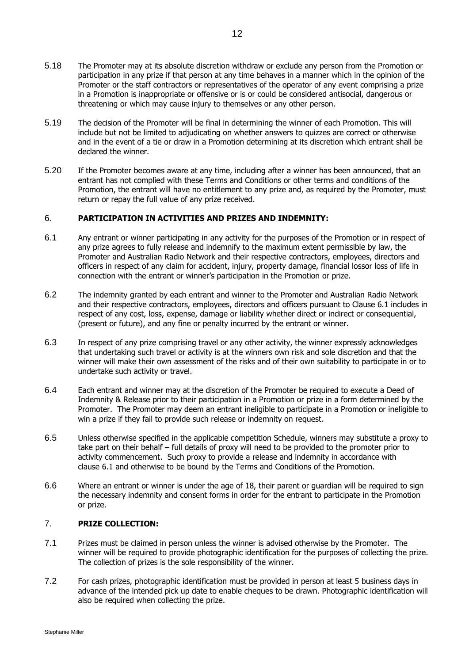- 5.18 The Promoter may at its absolute discretion withdraw or exclude any person from the Promotion or participation in any prize if that person at any time behaves in a manner which in the opinion of the Promoter or the staff contractors or representatives of the operator of any event comprising a prize in a Promotion is inappropriate or offensive or is or could be considered antisocial, dangerous or threatening or which may cause injury to themselves or any other person.
- 5.19 The decision of the Promoter will be final in determining the winner of each Promotion. This will include but not be limited to adjudicating on whether answers to quizzes are correct or otherwise and in the event of a tie or draw in a Promotion determining at its discretion which entrant shall be declared the winner.
- 5.20 If the Promoter becomes aware at any time, including after a winner has been announced, that an entrant has not complied with these Terms and Conditions or other terms and conditions of the Promotion, the entrant will have no entitlement to any prize and, as required by the Promoter, must return or repay the full value of any prize received.

#### 6. **PARTICIPATION IN ACTIVITIES AND PRIZES AND INDEMNITY:**

- <span id="page-11-0"></span>6.1 Any entrant or winner participating in any activity for the purposes of the Promotion or in respect of any prize agrees to fully release and indemnify to the maximum extent permissible by law, the Promoter and Australian Radio Network and their respective contractors, employees, directors and officers in respect of any claim for accident, injury, property damage, financial lossor loss of life in connection with the entrant or winner's participation in the Promotion or prize.
- 6.2 The indemnity granted by each entrant and winner to the Promoter and Australian Radio Network and their respective contractors, employees, directors and officers pursuant to Clause 6.1 includes in respect of any cost, loss, expense, damage or liability whether direct or indirect or consequential, (present or future), and any fine or penalty incurred by the entrant or winner.
- 6.3 In respect of any prize comprising travel or any other activity, the winner expressly acknowledges that undertaking such travel or activity is at the winners own risk and sole discretion and that the winner will make their own assessment of the risks and of their own suitability to participate in or to undertake such activity or travel.
- 6.4 Each entrant and winner may at the discretion of the Promoter be required to execute a Deed of Indemnity & Release prior to their participation in a Promotion or prize in a form determined by the Promoter. The Promoter may deem an entrant ineligible to participate in a Promotion or ineligible to win a prize if they fail to provide such release or indemnity on request.
- 6.5 Unless otherwise specified in the applicable competition Schedule, winners may substitute a proxy to take part on their behalf – full details of proxy will need to be provided to the promoter prior to activity commencement. Such proxy to provide a release and indemnity in accordance with clause [6.1](#page-11-0) and otherwise to be bound by the Terms and Conditions of the Promotion.
- 6.6 Where an entrant or winner is under the age of 18, their parent or guardian will be required to sign the necessary indemnity and consent forms in order for the entrant to participate in the Promotion or prize.

## 7. **PRIZE COLLECTION:**

- 7.1 Prizes must be claimed in person unless the winner is advised otherwise by the Promoter. The winner will be required to provide photographic identification for the purposes of collecting the prize. The collection of prizes is the sole responsibility of the winner.
- 7.2 For cash prizes, photographic identification must be provided in person at least 5 business days in advance of the intended pick up date to enable cheques to be drawn. Photographic identification will also be required when collecting the prize.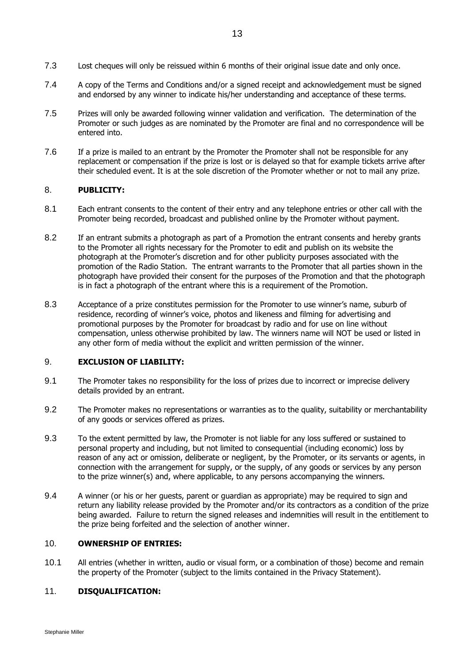- 7.3 Lost cheques will only be reissued within 6 months of their original issue date and only once.
- 7.4 A copy of the Terms and Conditions and/or a signed receipt and acknowledgement must be signed and endorsed by any winner to indicate his/her understanding and acceptance of these terms.
- 7.5 Prizes will only be awarded following winner validation and verification. The determination of the Promoter or such judges as are nominated by the Promoter are final and no correspondence will be entered into.
- 7.6 If a prize is mailed to an entrant by the Promoter the Promoter shall not be responsible for any replacement or compensation if the prize is lost or is delayed so that for example tickets arrive after their scheduled event. It is at the sole discretion of the Promoter whether or not to mail any prize.

## 8. **PUBLICITY:**

- 8.1 Each entrant consents to the content of their entry and any telephone entries or other call with the Promoter being recorded, broadcast and published online by the Promoter without payment.
- 8.2 If an entrant submits a photograph as part of a Promotion the entrant consents and hereby grants to the Promoter all rights necessary for the Promoter to edit and publish on its website the photograph at the Promoter's discretion and for other publicity purposes associated with the promotion of the Radio Station. The entrant warrants to the Promoter that all parties shown in the photograph have provided their consent for the purposes of the Promotion and that the photograph is in fact a photograph of the entrant where this is a requirement of the Promotion.
- 8.3 Acceptance of a prize constitutes permission for the Promoter to use winner's name, suburb of residence, recording of winner's voice, photos and likeness and filming for advertising and promotional purposes by the Promoter for broadcast by radio and for use on line without compensation, unless otherwise prohibited by law. The winners name will NOT be used or listed in any other form of media without the explicit and written permission of the winner.

# 9. **EXCLUSION OF LIABILITY:**

- 9.1 The Promoter takes no responsibility for the loss of prizes due to incorrect or imprecise delivery details provided by an entrant.
- 9.2 The Promoter makes no representations or warranties as to the quality, suitability or merchantability of any goods or services offered as prizes.
- 9.3 To the extent permitted by law, the Promoter is not liable for any loss suffered or sustained to personal property and including, but not limited to consequential (including economic) loss by reason of any act or omission, deliberate or negligent, by the Promoter, or its servants or agents, in connection with the arrangement for supply, or the supply, of any goods or services by any person to the prize winner(s) and, where applicable, to any persons accompanying the winners.
- 9.4 A winner (or his or her guests, parent or guardian as appropriate) may be required to sign and return any liability release provided by the Promoter and/or its contractors as a condition of the prize being awarded. Failure to return the signed releases and indemnities will result in the entitlement to the prize being forfeited and the selection of another winner.

# 10. **OWNERSHIP OF ENTRIES:**

10.1 All entries (whether in written, audio or visual form, or a combination of those) become and remain the property of the Promoter (subject to the limits contained in the Privacy Statement).

# 11. **DISQUALIFICATION:**